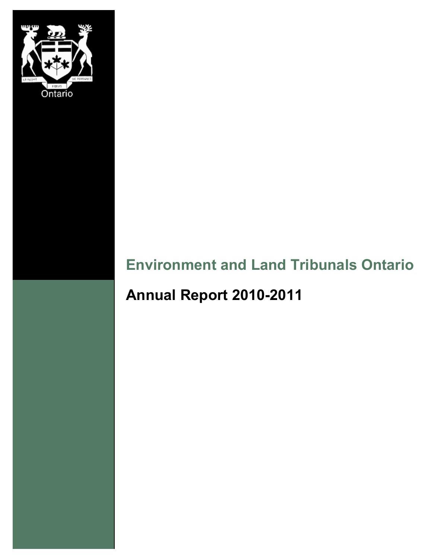

# **Environment and Land Tribunals Ontario**

# **Annual Report 2010-2011**

Environment and Land Tribunals Ontario 2010-2011 Annual Report 1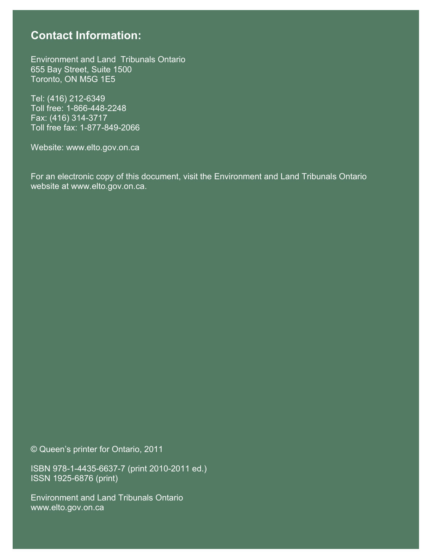# **Contact Information:**

**To the Honourable Chris Bentley, Attorney General** Environment and Land Tribunals Ontario 655 Bay Street, Suite 1500 Toronto, ON M5G 1E5

 $\sqrt{242.6240}$  $\frac{1}{2}$  We have the pleasure of submitting, for your approximation  $\frac{1}{2}$  with  $\frac{1}{2}$  and  $\frac{1}{2}$  and  $\frac{1}{2}$  and  $\frac{1}{2}$  and  $\frac{1}{2}$  and  $\frac{1}{2}$  and  $\frac{1}{2}$  and  $\frac{1}{2}$  and  $\frac{1}{2}$  and  $\frac{1}{2}$  a Environment and Land Tribunals of Ontario 2010-2011 Annual Report. Toll free fax: 1-877-849-2066 Tel: (416) 212-6349 Toll free: 1-866-448-2248 Fax: (416) 314-3717

Respectfully submitted, Website: www.elto.gov.on.ca

For an electronic copy of this document, visit the Environment and Land Tribunals Ontario website at www.elto.gov.on.ca.

© Queen's printer for Ontario, 2011

ISBN 978-1-4435-6637-7 (print 2010-2011 ed.) ISSN 1925-6876 (print)

Environment and Land Tribunals Ontario www.elto.gov.on.ca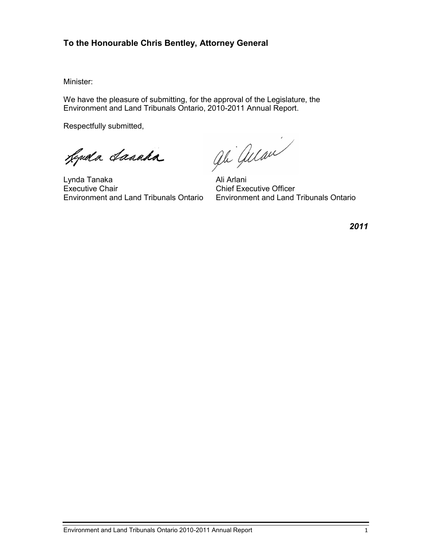### **To the Honourable Chris Bentley, Attorney General**

Minister:

We have the pleasure of submitting, for the approval of the Legislature, the Environment and Land Tribunals Ontario, 2010-2011 Annual Report.

Respectfully submitted,

Leguela Lanada

Lynda Tanaka Ali Arlani Executive Chair Chair Chair Chief Executive Officer<br>
Environment and Land Tribunals Ontario Environment and Land

ali allan

Environment and Land Tribunals Ontario Environment and Land Tribunals Ontario

*2011*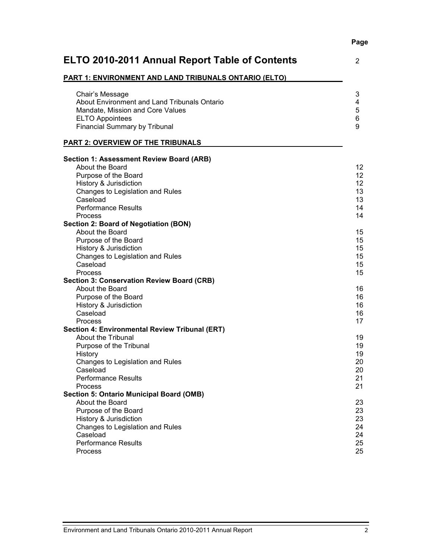# Performance Results 21<br>Process 21 Process 21 **Section 5: Ontario Municipal Board (OMB)** About the Board 23<br>Purpose of the Board 23 Purpose of the Board 23<br>
History & Jurisdiction 23 History & Jurisdiction Changes to Legislation and Rules 24<br>
Caseload 24 Caseload 24 Performance Results 25 Process 25

## **ELTO 2010-2011 Annual Report Table of Contents** 2

#### **PART 1: ENVIRONMENT AND LAND TRIBUNALS ONTARIO (ELTO)**

| Chair's Message                              | 3 |
|----------------------------------------------|---|
| About Environment and Land Tribunals Ontario | 4 |
| Mandate, Mission and Core Values             | 5 |
| <b>ELTO Appointees</b>                       | 6 |
| <b>Financial Summary by Tribunal</b>         | 9 |

About the Board 12 Purpose of the Board 12<br>
History & Jurisdiction 12 History & Jurisdiction 12<br>Changes to Legislation and Rules 13

Performance Results 14<br>Process 14

About the Board 15<br>Purpose of the Board 15 Purpose of the Board 15<br>
History & Jurisdiction 15 History & Jurisdiction 15<br>Changes to Legislation and Rules 15 Changes to Legislation and Rules 15<br>
Caseload 15

About the Board 16 Purpose of the Board 16 History & Jurisdiction 16<br>Caseload 16 16

About the Tribunal 19<br>
Purpose of the Tribunal 19<br>
19

Changes to Legislation and Rules 20<br>
Caseload 20

Caseload 13

Process 14

Caseload 15 Process and the contract of the contract of the contract of the contract of the contract of the contract of the contract of the contract of the contract of the contract of the contract of the contract of the contract of th

Caseload 16 Process and the contract of the contract of the contract of the contract of the contract of the contract of the contract of the contract of the contract of the contract of the contract of the contract of the contract of th

History 19

Caseload 20

#### **PART 2: OVERVIEW OF THE TRIBUNALS**

Changes to Legislation and Rules

**Section 2: Board of Negotiation (BON)**

**Section 3: Conservation Review Board (CRB)**

**Section 4: Environmental Review Tribunal (ERT)**

Purpose of the Tribunal

**Section 1: Assessment Review Board (ARB)**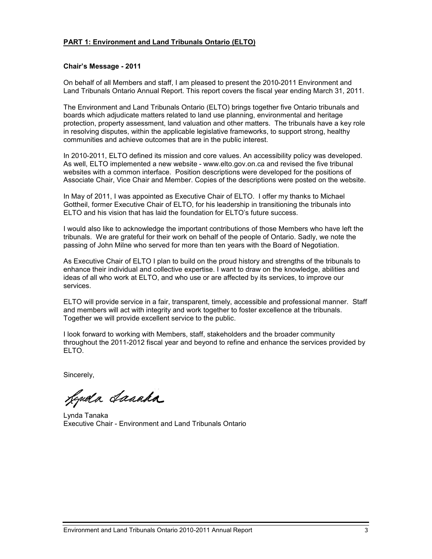#### **PART 1: Environment and Land Tribunals Ontario (ELTO)**

#### **Chair's Message - 2011**

On behalf of all Members and staff, I am pleased to present the 2010-2011 Environment and Land Tribunals Ontario Annual Report. This report covers the fiscal year ending March 31, 2011.

The Environment and Land Tribunals Ontario (ELTO) brings together five Ontario tribunals and boards which adjudicate matters related to land use planning, environmental and heritage protection, property assessment, land valuation and other matters. The tribunals have a key role in resolving disputes, within the applicable legislative frameworks, to support strong, healthy communities and achieve outcomes that are in the public interest.

In 2010-2011, ELTO defined its mission and core values. An accessibility policy was developed. As well, ELTO implemented a new website - www.elto.gov.on.ca and revised the five tribunal websites with a common interface. Position descriptions were developed for the positions of Associate Chair, Vice Chair and Member. Copies of the descriptions were posted on the website.

In May of 2011, I was appointed as Executive Chair of ELTO. I offer my thanks to Michael Gottheil, former Executive Chair of ELTO, for his leadership in transitioning the tribunals into ELTO and his vision that has laid the foundation for ELTO's future success.

I would also like to acknowledge the important contributions of those Members who have left the tribunals. We are grateful for their work on behalf of the people of Ontario. Sadly, we note the passing of John Milne who served for more than ten years with the Board of Negotiation.

As Executive Chair of ELTO I plan to build on the proud history and strengths of the tribunals to enhance their individual and collective expertise. I want to draw on the knowledge, abilities and ideas of all who work at ELTO, and who use or are affected by its services, to improve our services.

ELTO will provide service in a fair, transparent, timely, accessible and professional manner. Staff and members will act with integrity and work together to foster excellence at the tribunals. Together we will provide excellent service to the public.

I look forward to working with Members, staff, stakeholders and the broader community throughout the 2011-2012 fiscal year and beyond to refine and enhance the services provided by ELTO.

Sincerely,

Leguela Lanada

Lynda Tanaka Executive Chair - Environment and Land Tribunals Ontario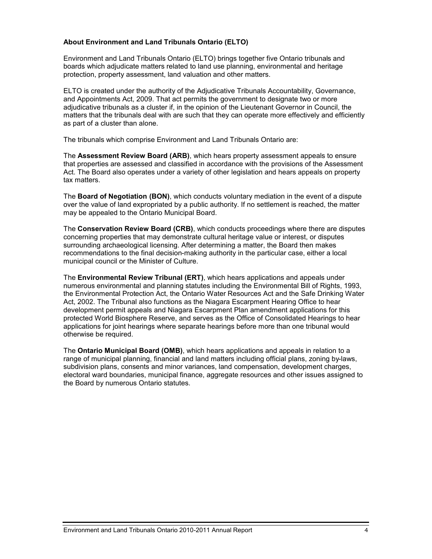#### **About Environment and Land Tribunals Ontario (ELTO)**

Environment and Land Tribunals Ontario (ELTO) brings together five Ontario tribunals and boards which adjudicate matters related to land use planning, environmental and heritage protection, property assessment, land valuation and other matters.

ELTO is created under the authority of the Adjudicative Tribunals Accountability, Governance, and Appointments Act, 2009. That act permits the government to designate two or more adjudicative tribunals as a cluster if, in the opinion of the Lieutenant Governor in Council, the matters that the tribunals deal with are such that they can operate more effectively and efficiently as part of a cluster than alone.

The tribunals which comprise Environment and Land Tribunals Ontario are:

The **Assessment Review Board (ARB)**, which hears property assessment appeals to ensure that properties are assessed and classified in accordance with the provisions of the Assessment Act. The Board also operates under a variety of other legislation and hears appeals on property tax matters.

The **Board of Negotiation (BON)**, which conducts voluntary mediation in the event of a dispute over the value of land expropriated by a public authority. If no settlement is reached, the matter may be appealed to the Ontario Municipal Board.

The **Conservation Review Board (CRB)**, which conducts proceedings where there are disputes concerning properties that may demonstrate cultural heritage value or interest, or disputes surrounding archaeological licensing. After determining a matter, the Board then makes recommendations to the final decision-making authority in the particular case, either a local municipal council or the Minister of Culture.

The **Environmental Review Tribunal (ERT)**, which hears applications and appeals under numerous environmental and planning statutes including the Environmental Bill of Rights, 1993, the Environmental Protection Act, the Ontario Water Resources Act and the Safe Drinking Water Act, 2002. The Tribunal also functions as the Niagara Escarpment Hearing Office to hear development permit appeals and Niagara Escarpment Plan amendment applications for this protected World Biosphere Reserve, and serves as the Office of Consolidated Hearings to hear applications for joint hearings where separate hearings before more than one tribunal would otherwise be required.

The **Ontario Municipal Board (OMB)**, which hears applications and appeals in relation to a range of municipal planning, financial and land matters including official plans, zoning by-laws, subdivision plans, consents and minor variances, land compensation, development charges, electoral ward boundaries, municipal finance, aggregate resources and other issues assigned to the Board by numerous Ontario statutes.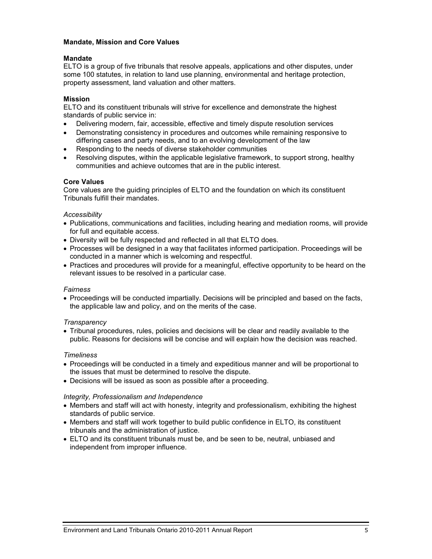#### **Mandate, Mission and Core Values**

#### **Mandate**

ELTO is a group of five tribunals that resolve appeals, applications and other disputes, under some 100 statutes, in relation to land use planning, environmental and heritage protection, property assessment, land valuation and other matters.

#### **Mission**

ELTO and its constituent tribunals will strive for excellence and demonstrate the highest standards of public service in:

- Delivering modern, fair, accessible, effective and timely dispute resolution services
- Demonstrating consistency in procedures and outcomes while remaining responsive to differing cases and party needs, and to an evolving development of the law
- Responding to the needs of diverse stakeholder communities
- Resolving disputes, within the applicable legislative framework, to support strong, healthy communities and achieve outcomes that are in the public interest.

#### **Core Values**

Core values are the guiding principles of ELTO and the foundation on which its constituent Tribunals fulfill their mandates.

#### *Accessibility*

- Publications, communications and facilities, including hearing and mediation rooms, will provide for full and equitable access.
- Diversity will be fully respected and reflected in all that ELTO does.
- Processes will be designed in a way that facilitates informed participation. Proceedings will be conducted in a manner which is welcoming and respectful.
- Practices and procedures will provide for a meaningful, effective opportunity to be heard on the relevant issues to be resolved in a particular case.

#### *Fairness*

 Proceedings will be conducted impartially. Decisions will be principled and based on the facts, the applicable law and policy, and on the merits of the case.

#### *Transparency*

 Tribunal procedures, rules, policies and decisions will be clear and readily available to the public. Reasons for decisions will be concise and will explain how the decision was reached.

#### *Timeliness*

- Proceedings will be conducted in a timely and expeditious manner and will be proportional to the issues that must be determined to resolve the dispute.
- Decisions will be issued as soon as possible after a proceeding.

#### *Integrity, Professionalism and Independence*

- Members and staff will act with honesty, integrity and professionalism, exhibiting the highest standards of public service.
- Members and staff will work together to build public confidence in ELTO, its constituent tribunals and the administration of justice.
- ELTO and its constituent tribunals must be, and be seen to be, neutral, unbiased and independent from improper influence.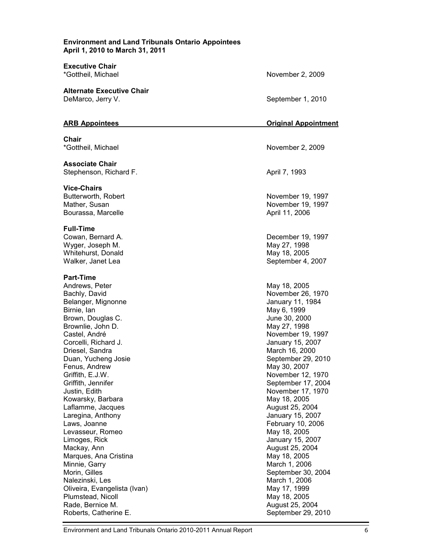#### **Environment and Land Tribunals Ontario Appointees April 1, 2010 to March 31, 2011**

**Executive Chair**

**Alternate Executive Chair**  DeMarco, Jerry V. September 1, 2010

**Chair**

**Associate Chair**  Stephenson, Richard F. April 7, 1993

**Vice-Chairs** Bourassa, Marcelle **April 11, 2006** 

#### **Full-Time**

Wyger, Joseph M. Whitehurst, Donald **May 18, 2005** May 18, 2005 Walker, Janet Lea **September 4, 2007** 

#### **Part-Time**

Andrews, Peter May 18, 2005 Bachly, David November 26, 1970 Belanger, Mignonne **International Execution** Selanger, 11, 1984 Birnie, Ian May 6, 1999 Brown, Douglas C. **Fig. 2000 Brown, Douglas C.** All the Street and Tune 30, 2000 Brownlie, John D. May 27, 1998 Castel, André November 19, 1997 Corcelli, Richard J. January 15, 2007 Driesel, Sandra March 16, 2000 Duan, Yucheng Josie September 29, 2010 Fenus, Andrew May 30, 2007 Griffith, E.J.W. November 12, 1970 Griffith, Jennifer September 17, 2004 Justin, Edith November 17, 1970 Kowarsky, Barbara May 18, 2005 Laflamme, Jacques **August 25, 2004** Laregina, Anthony **Internal and Accept and Accept and Accept** January 15, 2007 Laws, Joanne February 10, 2006 Levasseur, Romeo **May 18, 2005** Limoges, Rick January 15, 2007 Mackay, Ann **August 25, 2004** Marques, Ana Cristina May 18, 2005 Minnie, Garry **March 1, 2006** March 1, 2006 Morin, Gilles September 30, 2004 Nalezinski, Les March 1, 2006 Oliveira, Evangelista (Ivan) May 17, 1999 Plumstead, Nicoll **May 18, 2005** Rade, Bernice M. August 25, 2004 Roberts, Catherine E. September 29, 2010

\*Gottheil, Michael November 2, 2009

#### **ARB Appointees Original Appointment**

\*Gottheil, Michael November 2, 2009

Butterworth, Robert **November 19, 1997** Mather, Susan November 19, 1997

Cowan, Bernard A. Cowan, Bernard A. Cowan, Bernard A. Cowan, Bernard A. Cowan, 2007.<br>
Cowan, December 19, 1998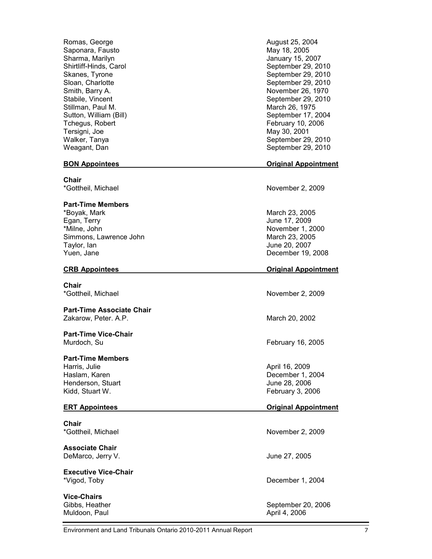Romas, George **August 25, 2004** Saponara, Fausto **May 18, 2005** May 18, 2005 Sharma, Marilyn January 15, 2007<br>
Shirtliff-Hinds, Carol Carrollary 15, 2007<br>
September 29, 20 Stillman, Paul M. (1975) Sutton, William (Bill) Sutton, William (Bill) Tchegus, Robert **February 10, 2006** Tersigni, Joe May 30, 2001 Weagant, Dan September 29, 2010

**Chair**

#### **Part-Time Members**

\*Boyak, Mark March 23, 2005 \*Milne, John November 1, 2000 Simmons, Lawrence John March 23, 2005 Taylor, Ian June 20, 2007 Yuen, Jane December 19, 2008

**Chair** \*Gottheil, Michael November 2, 2009

#### **Part-Time Associate Chair** Zakarow, Peter. A.P. March 20, 2002

## **Part-Time Vice-Chair**

#### **Part-Time Members**

Harris, Julie April 16, 2009 Haslam, Karen December 1, 2004 Henderson, Stuart June 28, 2006 Kidd, Stuart W. February 3, 2006

**Chair**<br>\*Gottheil, Michael

**Associate Chair** DeMarco, Jerry V. June 27, 2005

**Executive Vice-Chair** \*Vigod, Toby December 1, 2004

**Vice-Chairs** Muldoon, Paul **April 4, 2006** 

September 29, 2010 Skanes, Tyrone September 29, 2010<br>Sloan, Charlotte September 29, 2010 September 29, 2010 Smith, Barry A. November 26, 1970 Stabile, Vincent Stabile, Stabile, September 29, 2010 September 17, 2004 Walker, Tanya September 29, 2010

#### **BON Appointees Original Appointment**

\*Gottheil, Michael November 2, 2009

June 17, 2009

#### **CRB Appointees Original Appointment**

Murdoch, Su **February 16, 2005** Nurdoch, Su

#### **ERT Appointees Original Appointment**

November 2, 2009

Gibbs, Heather September 20, 2006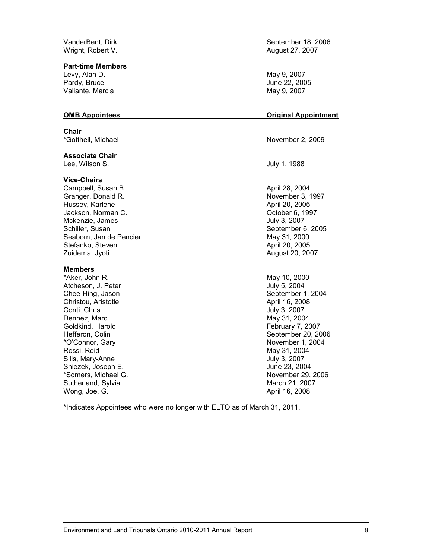Wright, Robert V. **August 27, 2007** 

**Part-time Members**

Levy, Alan D. May 9, 2007 Pardy, Bruce June 22, 2005 Valiante, Marcia **May 9, 2007** 

**Chair**<br>\*Gottheil, Michael

**Associate Chair** Lee, Wilson S. **July 1, 1988** 

#### **Vice-Chairs**

Campbell, Susan B. April 28, 2004 Granger, Donald R. November 3, 1997 Hussey, Karlene April 20, 2005 Jackson, Norman C. October 6, 1997 Mckenzie, James July 3, 2007 Schiller, Susan September 6, 2005 Seaborn, Jan de Pencier (1998) 1999 (May 31, 2000)<br>Stefanko, Steven (1999) 1999 (May 31, 2005) Stefanko, Steven Zuidema, Jyoti August 20, 2007

#### **Members**

\*Aker, John R. May 10, 2000 Atcheson, J. Peter **July 5, 2004** Chee-Hing, Jason September 1, 2004 Christou, Aristotle **April 16, 2008** Conti, Chris July 3, 2007 Denhez, Marc May 31, 2004 Goldkind, Harold **February 7, 2007** Hefferon, Colin September 20, 2006 \*O'Connor, Gary November 1, 2004 Rossi, Reid May 31, 2004 Sills, Mary-Anne **Value 2007** July 3, 2007 Sniezek, Joseph E. June 23, 2004 \*Somers, Michael G. November 29, 2006 Sutherland, Sylvia March 21, 2007 Wong, Joe. G. April 16, 2008

VanderBent, Dirk September 18, 2006

#### **OMB Appointees Original Appointment**

November 2, 2009

\*Indicates Appointees who were no longer with ELTO as of March 31, 2011.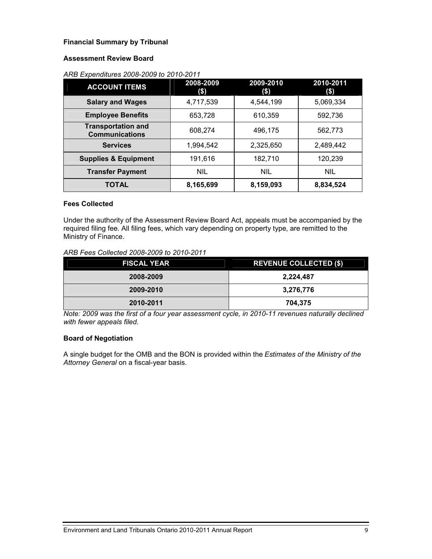### **Financial Summary by Tribunal**

### **Assessment Review Board**

### *ARB Expenditures 2008-2009 to 2010-2011*

| <b>ACCOUNT ITEMS</b>                               | 2008-2009<br>(\$) | 2009-2010<br>$($ \$) | 2010-2011<br>(\$) |
|----------------------------------------------------|-------------------|----------------------|-------------------|
| <b>Salary and Wages</b>                            | 4,717,539         | 4,544,199            | 5,069,334         |
| <b>Employee Benefits</b>                           | 653,728           | 610,359              | 592,736           |
| <b>Transportation and</b><br><b>Communications</b> | 608,274           | 496,175              | 562,773           |
| <b>Services</b>                                    | 1,994,542         | 2,325,650            | 2,489,442         |
| <b>Supplies &amp; Equipment</b>                    | 191,616           | 182,710              | 120,239           |
| <b>Transfer Payment</b>                            | <b>NIL</b>        | <b>NIL</b>           | <b>NIL</b>        |
| <b>TOTAL</b>                                       | 8,165,699         | 8,159,093            | 8,834,524         |

#### **Fees Collected**

Under the authority of the Assessment Review Board Act, appeals must be accompanied by the required filing fee. All filing fees, which vary depending on property type, are remitted to the Ministry of Finance.

### *ARB Fees Collected 2008-2009 to 2010-2011*

| <b>FISCAL YEAR</b> | <b>REVENUE COLLECTED (\$)</b> |
|--------------------|-------------------------------|
| 2008-2009          | 2,224,487                     |
| 2009-2010          | 3,276,776                     |
| 2010-2011          | 704,375                       |

*Note: 2009 was the first of a four year assessment cycle, in 2010-11 revenues naturally declined with fewer appeals filed.*

#### **Board of Negotiation**

A single budget for the OMB and the BON is provided within the *Estimates of the Ministry of the Attorney General* on a fiscal-year basis.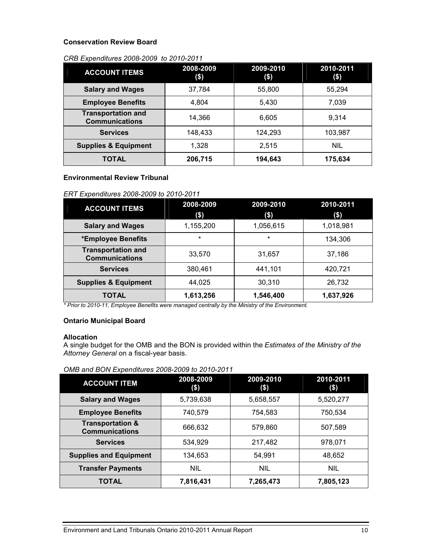#### **Conservation Review Board**

#### *CRB Expenditures 2008-2009 to 2010-2011*

| <b>ACCOUNT ITEMS</b>                               | 2008-2009<br>\$) | 2009-2010<br>\$) | 2010-2011<br>\$) |
|----------------------------------------------------|------------------|------------------|------------------|
| <b>Salary and Wages</b>                            | 37,784           | 55,800           | 55.294           |
| <b>Employee Benefits</b>                           | 4.804            | 5,430            | 7,039            |
| <b>Transportation and</b><br><b>Communications</b> | 14,366           | 6,605            | 9,314            |
| <b>Services</b>                                    | 148,433          | 124.293          | 103.987          |
| <b>Supplies &amp; Equipment</b>                    | 1,328            | 2.515            | <b>NIL</b>       |
| TOTAL                                              | 206,715          | 194,643          | 175,634          |

### **Environmental Review Tribunal**

### *ERT Expenditures 2008-2009 to 2010-2011*

| <b>ACCOUNT ITEMS</b>                               | 2008-2009<br>\$) | 2009-2010<br>$($ \$) | 2010-2011<br>$($ \$) |
|----------------------------------------------------|------------------|----------------------|----------------------|
| <b>Salary and Wages</b>                            | 1,155,200        | 1,056,615            | 1,018,981            |
| *Employee Benefits                                 | $\star$          | $\star$              | 134,306              |
| <b>Transportation and</b><br><b>Communications</b> | 33,570           | 31,657               | 37,186               |
| <b>Services</b>                                    | 380.461          | 441,101              | 420,721              |
| <b>Supplies &amp; Equipment</b>                    | 44.025           | 30,310               | 26,732               |
| TOTAL                                              | 1,613,256        | 1,546,400            | 1,637,926            |

*\* Prior to 2010-11, Employee Benefits were managed centrally by the Ministry of the Environment.*

#### **Ontario Municipal Board**

### **Allocation**

A single budget for the OMB and the BON is provided within the *Estimates of the Ministry of the Attorney General* on a fiscal-year basis.

| OMB and BON Expenditures 2008-2009 to 2010-2011 |
|-------------------------------------------------|
|-------------------------------------------------|

| <b>ACCOUNT ITEM</b>                                  | 2008-2009<br>(\$) | 2009-2010<br>$\left( \text{\$}\right)$ | 2010-2011<br>\$) |
|------------------------------------------------------|-------------------|----------------------------------------|------------------|
| <b>Salary and Wages</b>                              | 5,739,638         | 5,658,557                              | 5,520,277        |
| <b>Employee Benefits</b>                             | 740,579           | 754,583                                | 750,534          |
| <b>Transportation &amp;</b><br><b>Communications</b> | 666,632           | 579,860                                | 507,589          |
| <b>Services</b>                                      | 534,929           | 217,482                                | 978,071          |
| <b>Supplies and Equipment</b>                        | 134,653           | 54,991                                 | 48,652           |
| <b>Transfer Payments</b>                             | <b>NIL</b>        | <b>NIL</b>                             | <b>NIL</b>       |
| TOTAL                                                | 7,816,431         | 7,265,473                              | 7,805,123        |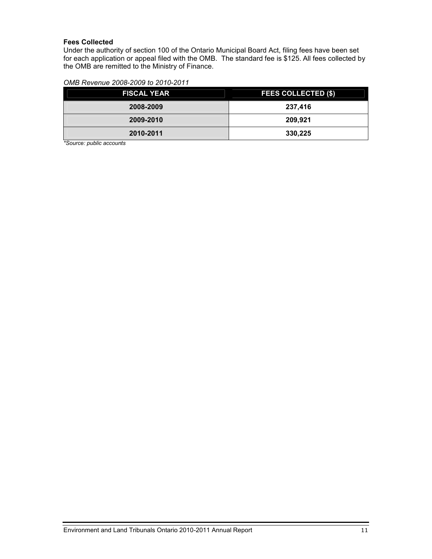#### **Fees Collected**

Under the authority of section 100 of the Ontario Municipal Board Act, filing fees have been set for each application or appeal filed with the OMB. The standard fee is \$125. All fees collected by the OMB are remitted to the Ministry of Finance.

| <b>FISCAL YEAR</b> | <b>FEES COLLECTED (\$)</b> |
|--------------------|----------------------------|
| 2008-2009          | 237,416                    |
| 2009-2010          | 209,921                    |
| 2010-2011          | 330,225                    |

*\*Source: public accounts*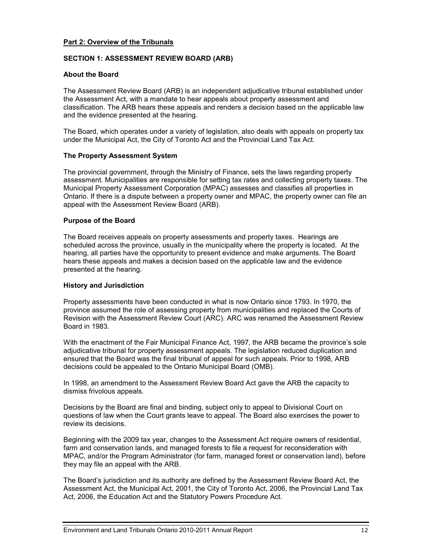#### **Part 2: Overview of the Tribunals**

#### **SECTION 1: ASSESSMENT REVIEW BOARD (ARB)**

#### **About the Board**

The Assessment Review Board (ARB) is an independent adjudicative tribunal established under the Assessment Act, with a mandate to hear appeals about property assessment and classification. The ARB hears these appeals and renders a decision based on the applicable law and the evidence presented at the hearing.

The Board, which operates under a variety of legislation, also deals with appeals on property tax under the Municipal Act, the City of Toronto Act and the Provincial Land Tax Act.

#### **The Property Assessment System**

The provincial government, through the Ministry of Finance, sets the laws regarding property assessment. Municipalities are responsible for setting tax rates and collecting property taxes. The Municipal Property Assessment Corporation (MPAC) assesses and classifies all properties in Ontario. If there is a dispute between a property owner and MPAC, the property owner can file an appeal with the Assessment Review Board (ARB).

#### **Purpose of the Board**

The Board receives appeals on property assessments and property taxes. Hearings are scheduled across the province, usually in the municipality where the property is located. At the hearing, all parties have the opportunity to present evidence and make arguments. The Board hears these appeals and makes a decision based on the applicable law and the evidence presented at the hearing.

#### **History and Jurisdiction**

Property assessments have been conducted in what is now Ontario since 1793. In 1970, the province assumed the role of assessing property from municipalities and replaced the Courts of Revision with the Assessment Review Court (ARC). ARC was renamed the Assessment Review Board in 1983.

With the enactment of the Fair Municipal Finance Act, 1997, the ARB became the province's sole adjudicative tribunal for property assessment appeals. The legislation reduced duplication and ensured that the Board was the final tribunal of appeal for such appeals. Prior to 1998, ARB decisions could be appealed to the Ontario Municipal Board (OMB).

In 1998, an amendment to the Assessment Review Board Act gave the ARB the capacity to dismiss frivolous appeals.

Decisions by the Board are final and binding, subject only to appeal to Divisional Court on questions of law when the Court grants leave to appeal. The Board also exercises the power to review its decisions.

Beginning with the 2009 tax year, changes to the Assessment Act require owners of residential, farm and conservation lands, and managed forests to file a request for reconsideration with MPAC, and/or the Program Administrator (for farm, managed forest or conservation land), before they may file an appeal with the ARB.

The Board's jurisdiction and its authority are defined by the Assessment Review Board Act, the Assessment Act, the Municipal Act, 2001, the City of Toronto Act, 2006, the Provincial Land Tax Act, 2006, the Education Act and the Statutory Powers Procedure Act.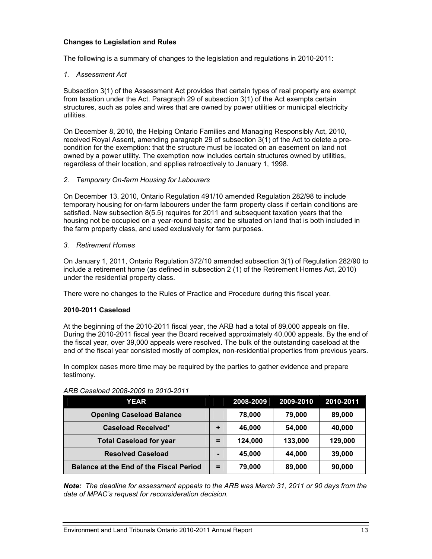#### **Changes to Legislation and Rules**

The following is a summary of changes to the legislation and regulations in 2010-2011:

#### *1. Assessment Act*

Subsection 3(1) of the Assessment Act provides that certain types of real property are exempt from taxation under the Act. Paragraph 29 of subsection 3(1) of the Act exempts certain structures, such as poles and wires that are owned by power utilities or municipal electricity utilities.

On December 8, 2010, the Helping Ontario Families and Managing Responsibly Act, 2010, received Royal Assent, amending paragraph 29 of subsection 3(1) of the Act to delete a pre condition for the exemption: that the structure must be located on an easement on land not owned by a power utility. The exemption now includes certain structures owned by utilities, regardless of their location, and applies retroactively to January 1, 1998.

#### *2. Temporary On-farm Housing for Labourers*

On December 13, 2010, Ontario Regulation 491/10 amended Regulation 282/98 to include temporary housing for on-farm labourers under the farm property class if certain conditions are satisfied. New subsection 8(5.5) requires for 2011 and subsequent taxation years that the housing not be occupied on a year-round basis; and be situated on land that is both included in the farm property class, and used exclusively for farm purposes.

#### *3. Retirement Homes*

On January 1, 2011, Ontario Regulation 372/10 amended subsection 3(1) of Regulation 282/90 to include a retirement home (as defined in subsection 2 (1) of the Retirement Homes Act, 2010) under the residential property class.

There were no changes to the Rules of Practice and Procedure during this fiscal year.

#### **2010-2011 Caseload**

At the beginning of the 2010-2011 fiscal year, the ARB had a total of 89,000 appeals on file. During the 2010-2011 fiscal year the Board received approximately 40,000 appeals. By the end of the fiscal year, over 39,000 appeals were resolved. The bulk of the outstanding caseload at the end of the fiscal year consisted mostly of complex, non-residential properties from previous years.

In complex cases more time may be required by the parties to gather evidence and prepare testimony.

| YEAR                                           |    | 2008-2009 | 2009-2010 | 2010-2011 |
|------------------------------------------------|----|-----------|-----------|-----------|
| <b>Opening Caseload Balance</b>                |    | 78,000    | 79,000    | 89,000    |
| <b>Caseload Received*</b>                      | ٠  | 46,000    | 54,000    | 40,000    |
| <b>Total Caseload for year</b>                 | =  | 124.000   | 133,000   | 129,000   |
| <b>Resolved Caseload</b>                       |    | 45,000    | 44.000    | 39,000    |
| <b>Balance at the End of the Fiscal Period</b> | Ξ. | 79,000    | 89,000    | 90,000    |

#### *ARB Caseload 2008-2009 to 2010-2011*

*Note: The deadline for assessment appeals to the ARB was March 31, 2011 or 90 days from the date of MPAC's request for reconsideration decision.*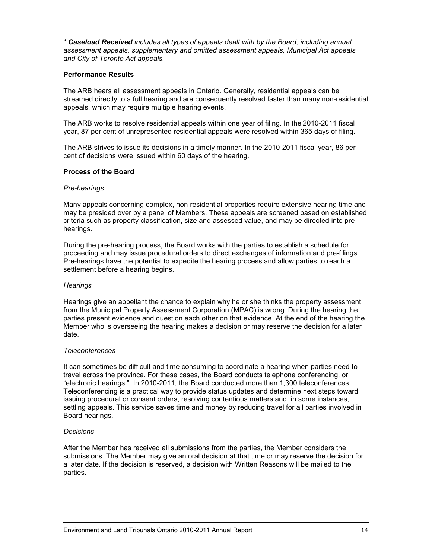*\* Caseload Received includes all types of appeals dealt with by the Board, including annual assessment appeals, supplementary and omitted assessment appeals, Municipal Act appeals and City of Toronto Act appeals.* 

#### **Performance Results**

The ARB hears all assessment appeals in Ontario. Generally, residential appeals can be streamed directly to a full hearing and are consequently resolved faster than many non-residential appeals, which may require multiple hearing events.

The ARB works to resolve residential appeals within one year of filing. In the 2010-2011 fiscal year, 87 per cent of unrepresented residential appeals were resolved within 365 days of filing.

The ARB strives to issue its decisions in a timely manner. In the 2010-2011 fiscal year, 86 per cent of decisions were issued within 60 days of the hearing.

#### **Process of the Board**

#### *Pre-hearings*

Many appeals concerning complex, non-residential properties require extensive hearing time and may be presided over by a panel of Members. These appeals are screened based on established criteria such as property classification, size and assessed value, and may be directed into pre hearings.

During the pre-hearing process, the Board works with the parties to establish a schedule for proceeding and may issue procedural orders to direct exchanges of information and pre-filings. Pre-hearings have the potential to expedite the hearing process and allow parties to reach a settlement before a hearing begins.

#### *Hearings*

Hearings give an appellant the chance to explain why he or she thinks the property assessment from the Municipal Property Assessment Corporation (MPAC) is wrong. During the hearing the parties present evidence and question each other on that evidence. At the end of the hearing the Member who is overseeing the hearing makes a decision or may reserve the decision for a later date.

#### *Teleconferences*

It can sometimes be difficult and time consuming to coordinate a hearing when parties need to travel across the province. For these cases, the Board conducts telephone conferencing, or "electronic hearings." In 2010-2011, the Board conducted more than 1,300 teleconferences. Teleconferencing is a practical way to provide status updates and determine next steps toward issuing procedural or consent orders, resolving contentious matters and, in some instances, settling appeals. This service saves time and money by reducing travel for all parties involved in Board hearings.

#### *Decisions*

After the Member has received all submissions from the parties, the Member considers the submissions. The Member may give an oral decision at that time or may reserve the decision for a later date. If the decision is reserved, a decision with Written Reasons will be mailed to the parties.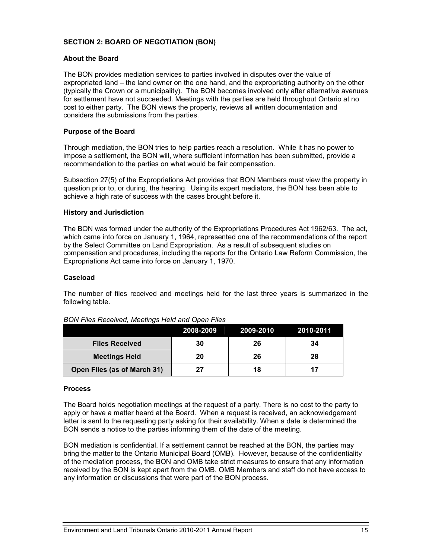#### **SECTION 2: BOARD OF NEGOTIATION (BON)**

#### **About the Board**

The BON provides mediation services to parties involved in disputes over the value of expropriated land – the land owner on the one hand, and the expropriating authority on the other (typically the Crown or a municipality). The BON becomes involved only after alternative avenues for settlement have not succeeded. Meetings with the parties are held throughout Ontario at no cost to either party. The BON views the property, reviews all written documentation and considers the submissions from the parties.

#### **Purpose of the Board**

Through mediation, the BON tries to help parties reach a resolution. While it has no power to impose a settlement, the BON will, where sufficient information has been submitted, provide a recommendation to the parties on what would be fair compensation.

Subsection 27(5) of the Expropriations Act provides that BON Members must view the property in question prior to, or during, the hearing. Using its expert mediators, the BON has been able to achieve a high rate of success with the cases brought before it.

#### **History and Jurisdiction**

The BON was formed under the authority of the Expropriations Procedures Act 1962/63. The act, which came into force on January 1, 1964, represented one of the recommendations of the report by the Select Committee on Land Expropriation. As a result of subsequent studies on compensation and procedures, including the reports for the Ontario Law Reform Commission, the Expropriations Act came into force on January 1, 1970.

#### **Caseload**

The number of files received and meetings held for the last three years is summarized in the following table.

|                             | 2008-2009 | 2009-2010 | 2010-2011 |
|-----------------------------|-----------|-----------|-----------|
| <b>Files Received</b>       | 30        | 26        | 34        |
| <b>Meetings Held</b>        | 20        | 26        | 28        |
| Open Files (as of March 31) | 27        |           |           |

#### *BON Files Received, Meetings Held and Open Files*

#### **Process**

The Board holds negotiation meetings at the request of a party. There is no cost to the party to apply or have a matter heard at the Board. When a request is received, an acknowledgement letter is sent to the requesting party asking for their availability. When a date is determined the BON sends a notice to the parties informing them of the date of the meeting.

BON mediation is confidential. If a settlement cannot be reached at the BON, the parties may bring the matter to the Ontario Municipal Board (OMB). However, because of the confidentiality of the mediation process, the BON and OMB take strict measures to ensure that any information received by the BON is kept apart from the OMB. OMB Members and staff do not have access to any information or discussions that were part of the BON process.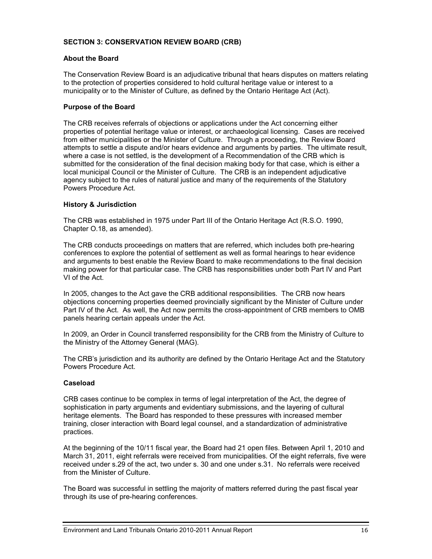#### **SECTION 3: CONSERVATION REVIEW BOARD (CRB)**

#### **About the Board**

The Conservation Review Board is an adjudicative tribunal that hears disputes on matters relating to the protection of properties considered to hold cultural heritage value or interest to a municipality or to the Minister of Culture, as defined by the Ontario Heritage Act (Act).

#### **Purpose of the Board**

The CRB receives referrals of objections or applications under the Act concerning either properties of potential heritage value or interest, or archaeological licensing. Cases are received from either municipalities or the Minister of Culture. Through a proceeding, the Review Board attempts to settle a dispute and/or hears evidence and arguments by parties. The ultimate result, where a case is not settled, is the development of a Recommendation of the CRB which is submitted for the consideration of the final decision making body for that case, which is either a local municipal Council or the Minister of Culture. The CRB is an independent adjudicative agency subject to the rules of natural justice and many of the requirements of the Statutory Powers Procedure Act.

#### **History & Jurisdiction**

The CRB was established in 1975 under Part III of the Ontario Heritage Act (R.S.O. 1990, Chapter O.18, as amended).

The CRB conducts proceedings on matters that are referred, which includes both pre-hearing conferences to explore the potential of settlement as well as formal hearings to hear evidence and arguments to best enable the Review Board to make recommendations to the final decision making power for that particular case. The CRB has responsibilities under both Part IV and Part VI of the Act.

In 2005, changes to the Act gave the CRB additional responsibilities. The CRB now hears objections concerning properties deemed provincially significant by the Minister of Culture under Part IV of the Act. As well, the Act now permits the cross-appointment of CRB members to OMB panels hearing certain appeals under the Act.

In 2009, an Order in Council transferred responsibility for the CRB from the Ministry of Culture to the Ministry of the Attorney General (MAG).

The CRB's jurisdiction and its authority are defined by the Ontario Heritage Act and the Statutory Powers Procedure Act.

#### **Caseload**

CRB cases continue to be complex in terms of legal interpretation of the Act, the degree of sophistication in party arguments and evidentiary submissions, and the layering of cultural heritage elements. The Board has responded to these pressures with increased member training, closer interaction with Board legal counsel, and a standardization of administrative practices.

At the beginning of the 10/11 fiscal year, the Board had 21 open files. Between April 1, 2010 and March 31, 2011, eight referrals were received from municipalities. Of the eight referrals, five were received under s.29 of the act, two under s. 30 and one under s.31. No referrals were received from the Minister of Culture.

The Board was successful in settling the majority of matters referred during the past fiscal year through its use of pre-hearing conferences.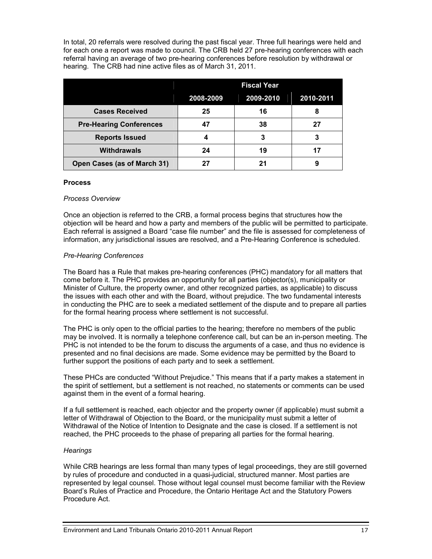In total, 20 referrals were resolved during the past fiscal year. Three full hearings were held and for each one a report was made to council. The CRB held 27 pre-hearing conferences with each referral having an average of two pre-hearing conferences before resolution by withdrawal or hearing. The CRB had nine active files as of March 31, 2011.

|                                | <b>Fiscal Year</b> |           |           |
|--------------------------------|--------------------|-----------|-----------|
|                                | 2008-2009          | 2009-2010 | 2010-2011 |
| <b>Cases Received</b>          | 25                 | 16        | 8         |
| <b>Pre-Hearing Conferences</b> | 47                 | 38        | 27        |
| <b>Reports Issued</b>          |                    | 3         |           |
| <b>Withdrawals</b>             | 24                 | 19        | 17        |
| Open Cases (as of March 31)    |                    | 21        |           |

#### **Process**

#### *Process Overview*

Once an objection is referred to the CRB, a formal process begins that structures how the objection will be heard and how a party and members of the public will be permitted to participate. Each referral is assigned a Board "case file number" and the file is assessed for completeness of information, any jurisdictional issues are resolved, and a Pre-Hearing Conference is scheduled.

#### *Pre-Hearing Conferences*

The Board has a Rule that makes pre-hearing conferences (PHC) mandatory for all matters that come before it. The PHC provides an opportunity for all parties (objector(s), municipality or Minister of Culture, the property owner, and other recognized parties, as applicable) to discuss the issues with each other and with the Board, without prejudice. The two fundamental interests in conducting the PHC are to seek a mediated settlement of the dispute and to prepare all parties for the formal hearing process where settlement is not successful.

The PHC is only open to the official parties to the hearing; therefore no members of the public may be involved. It is normally a telephone conference call, but can be an in-person meeting. The PHC is not intended to be the forum to discuss the arguments of a case, and thus no evidence is presented and no final decisions are made. Some evidence may be permitted by the Board to further support the positions of each party and to seek a settlement.

These PHCs are conducted "Without Prejudice." This means that if a party makes a statement in the spirit of settlement, but a settlement is not reached, no statements or comments can be used against them in the event of a formal hearing.

If a full settlement is reached, each objector and the property owner (if applicable) must submit a letter of Withdrawal of Objection to the Board, or the municipality must submit a letter of Withdrawal of the Notice of Intention to Designate and the case is closed. If a settlement is not reached, the PHC proceeds to the phase of preparing all parties for the formal hearing.

#### *Hearings*

While CRB hearings are less formal than many types of legal proceedings, they are still governed by rules of procedure and conducted in a quasi-judicial, structured manner. Most parties are represented by legal counsel. Those without legal counsel must become familiar with the Review Board's Rules of Practice and Procedure, the Ontario Heritage Act and the Statutory Powers Procedure Act.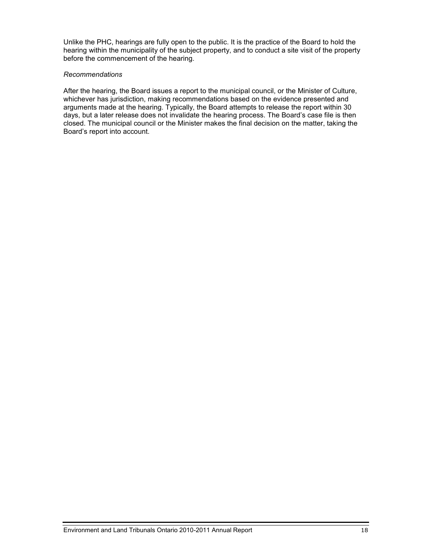Unlike the PHC, hearings are fully open to the public. It is the practice of the Board to hold the hearing within the municipality of the subject property, and to conduct a site visit of the property before the commencement of the hearing.

#### *Recommendations*

After the hearing, the Board issues a report to the municipal council, or the Minister of Culture, whichever has jurisdiction, making recommendations based on the evidence presented and arguments made at the hearing. Typically, the Board attempts to release the report within 30 days, but a later release does not invalidate the hearing process. The Board's case file is then closed. The municipal council or the Minister makes the final decision on the matter, taking the Board's report into account.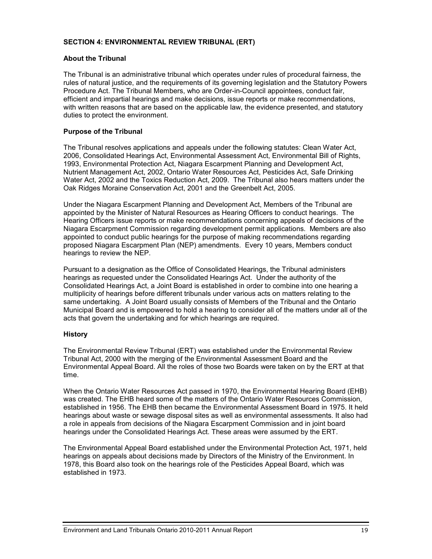#### **SECTION 4: ENVIRONMENTAL REVIEW TRIBUNAL (ERT)**

#### **About the Tribunal**

The Tribunal is an administrative tribunal which operates under rules of procedural fairness, the rules of natural justice, and the requirements of its governing legislation and the Statutory Powers Procedure Act. The Tribunal Members, who are Order-in-Council appointees, conduct fair, efficient and impartial hearings and make decisions, issue reports or make recommendations, with written reasons that are based on the applicable law, the evidence presented, and statutory duties to protect the environment.

#### **Purpose of the Tribunal**

The Tribunal resolves applications and appeals under the following statutes: Clean Water Act, 2006, Consolidated Hearings Act, Environmental Assessment Act, Environmental Bill of Rights, 1993, Environmental Protection Act, Niagara Escarpment Planning and Development Act, Nutrient Management Act, 2002, Ontario Water Resources Act, Pesticides Act, Safe Drinking Water Act, 2002 and the Toxics Reduction Act, 2009. The Tribunal also hears matters under the Oak Ridges Moraine Conservation Act, 2001 and the Greenbelt Act, 2005.

Under the Niagara Escarpment Planning and Development Act, Members of the Tribunal are appointed by the Minister of Natural Resources as Hearing Officers to conduct hearings. The Hearing Officers issue reports or make recommendations concerning appeals of decisions of the Niagara Escarpment Commission regarding development permit applications. Members are also appointed to conduct public hearings for the purpose of making recommendations regarding proposed Niagara Escarpment Plan (NEP) amendments. Every 10 years, Members conduct hearings to review the NEP.

Pursuant to a designation as the Office of Consolidated Hearings, the Tribunal administers hearings as requested under the Consolidated Hearings Act. Under the authority of the Consolidated Hearings Act, a Joint Board is established in order to combine into one hearing a multiplicity of hearings before different tribunals under various acts on matters relating to the same undertaking. A Joint Board usually consists of Members of the Tribunal and the Ontario Municipal Board and is empowered to hold a hearing to consider all of the matters under all of the acts that govern the undertaking and for which hearings are required.

#### **History**

The Environmental Review Tribunal (ERT) was established under the Environmental Review Tribunal Act, 2000 with the merging of the Environmental Assessment Board and the Environmental Appeal Board. All the roles of those two Boards were taken on by the ERT at that time.

When the Ontario Water Resources Act passed in 1970, the Environmental Hearing Board (EHB) was created. The EHB heard some of the matters of the Ontario Water Resources Commission, established in 1956. The EHB then became the Environmental Assessment Board in 1975. It held hearings about waste or sewage disposal sites as well as environmental assessments. It also had a role in appeals from decisions of the Niagara Escarpment Commission and in joint board hearings under the Consolidated Hearings Act. These areas were assumed by the ERT.

The Environmental Appeal Board established under the Environmental Protection Act, 1971, held hearings on appeals about decisions made by Directors of the Ministry of the Environment. In 1978, this Board also took on the hearings role of the Pesticides Appeal Board, which was established in 1973.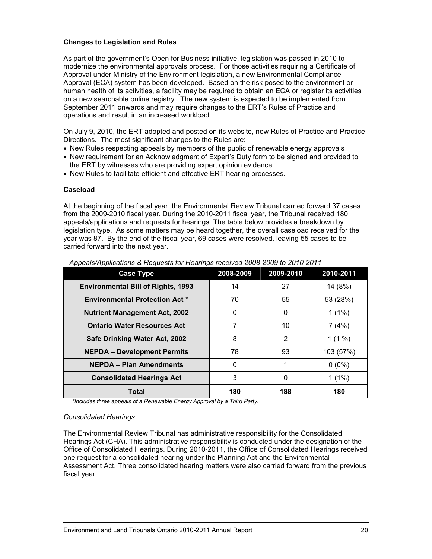#### **Changes to Legislation and Rules**

As part of the government's Open for Business initiative, legislation was passed in 2010 to modernize the environmental approvals process. For those activities requiring a Certificate of Approval under Ministry of the Environment legislation, a new Environmental Compliance Approval (ECA) system has been developed. Based on the risk posed to the environment or human health of its activities, a facility may be required to obtain an ECA or register its activities on a new searchable online registry. The new system is expected to be implemented from September 2011 onwards and may require changes to the ERT's Rules of Practice and operations and result in an increased workload.

On July 9, 2010, the ERT adopted and posted on its website, new Rules of Practice and Practice Directions. The most significant changes to the Rules are:

- New Rules respecting appeals by members of the public of renewable energy approvals
- New requirement for an Acknowledgment of Expert's Duty form to be signed and provided to the ERT by witnesses who are providing expert opinion evidence
- New Rules to facilitate efficient and effective ERT hearing processes.

#### **Caseload**

At the beginning of the fiscal year, the Environmental Review Tribunal carried forward 37 cases from the 2009-2010 fiscal year. During the 2010-2011 fiscal year, the Tribunal received 180 appeals/applications and requests for hearings. The table below provides a breakdown by legislation type. As some matters may be heard together, the overall caseload received for the year was 87. By the end of the fiscal year, 69 cases were resolved, leaving 55 cases to be carried forward into the next year.

| <b>Case Type</b>                          | 2008-2009 | 2009-2010 | 2010-2011 |
|-------------------------------------------|-----------|-----------|-----------|
| <b>Environmental Bill of Rights, 1993</b> | 14        | 27        | 14 (8%)   |
| <b>Environmental Protection Act *</b>     | 70        | 55        | 53 (28%)  |
| <b>Nutrient Management Act, 2002</b>      | $\Omega$  | 0         | $1(1\%)$  |
| <b>Ontario Water Resources Act</b>        | 7         | 10        | 7(4%)     |
| Safe Drinking Water Act, 2002             | 8         | 2         | $1(1\%)$  |
| <b>NEPDA - Development Permits</b>        | 78        | 93        | 103 (57%) |
| <b>NEPDA - Plan Amendments</b>            | $\Omega$  |           | $0(0\%)$  |
| <b>Consolidated Hearings Act</b>          | 3         | 0         | $1(1\%)$  |
| Total                                     | 180       | 188       | 180       |

 *Appeals/Applications & Requests for Hearings received 2008-2009 to 2010-2011* 

*\*Includes three appeals of a Renewable Energy Approval by a Third Party.*

#### *Consolidated Hearings*

The Environmental Review Tribunal has administrative responsibility for the Consolidated Hearings Act (CHA). This administrative responsibility is conducted under the designation of the Office of Consolidated Hearings. During 2010-2011, the Office of Consolidated Hearings received one request for a consolidated hearing under the Planning Act and the Environmental Assessment Act. Three consolidated hearing matters were also carried forward from the previous fiscal year.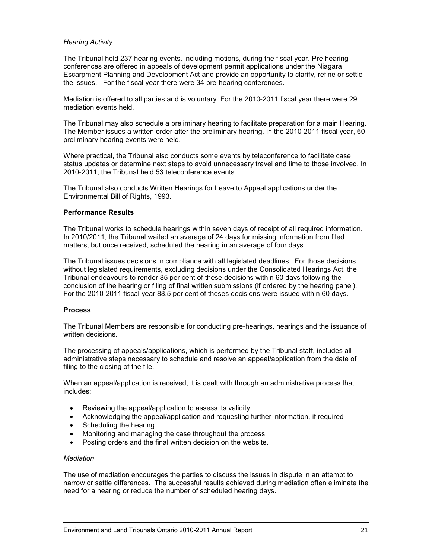#### *Hearing Activity*

The Tribunal held 237 hearing events, including motions, during the fiscal year. Pre-hearing conferences are offered in appeals of development permit applications under the Niagara Escarpment Planning and Development Act and provide an opportunity to clarify, refine or settle the issues. For the fiscal year there were 34 pre-hearing conferences.

Mediation is offered to all parties and is voluntary. For the 2010-2011 fiscal year there were 29 mediation events held.

The Tribunal may also schedule a preliminary hearing to facilitate preparation for a main Hearing. The Member issues a written order after the preliminary hearing. In the 2010-2011 fiscal year, 60 preliminary hearing events were held.

Where practical, the Tribunal also conducts some events by teleconference to facilitate case status updates or determine next steps to avoid unnecessary travel and time to those involved. In 2010-2011, the Tribunal held 53 teleconference events.

The Tribunal also conducts Written Hearings for Leave to Appeal applications under the Environmental Bill of Rights, 1993.

#### **Performance Results**

The Tribunal works to schedule hearings within seven days of receipt of all required information. In 2010/2011, the Tribunal waited an average of 24 days for missing information from filed matters, but once received, scheduled the hearing in an average of four days.

The Tribunal issues decisions in compliance with all legislated deadlines. For those decisions without legislated requirements, excluding decisions under the Consolidated Hearings Act, the Tribunal endeavours to render 85 per cent of these decisions within 60 days following the conclusion of the hearing or filing of final written submissions (if ordered by the hearing panel). For the 2010-2011 fiscal year 88.5 per cent of theses decisions were issued within 60 days.

#### **Process**

The Tribunal Members are responsible for conducting pre-hearings, hearings and the issuance of written decisions.

The processing of appeals/applications, which is performed by the Tribunal staff, includes all administrative steps necessary to schedule and resolve an appeal/application from the date of filing to the closing of the file.

When an appeal/application is received, it is dealt with through an administrative process that includes:

- Reviewing the appeal/application to assess its validity
- Acknowledging the appeal/application and requesting further information, if required
- Scheduling the hearing
- Monitoring and managing the case throughout the process
- Posting orders and the final written decision on the website.

#### *Mediation*

The use of mediation encourages the parties to discuss the issues in dispute in an attempt to narrow or settle differences. The successful results achieved during mediation often eliminate the need for a hearing or reduce the number of scheduled hearing days.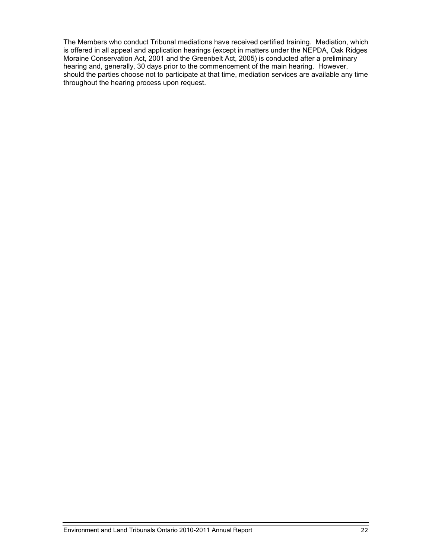The Members who conduct Tribunal mediations have received certified training. Mediation, which is offered in all appeal and application hearings (except in matters under the NEPDA, Oak Ridges Moraine Conservation Act, 2001 and the Greenbelt Act, 2005) is conducted after a preliminary hearing and, generally, 30 days prior to the commencement of the main hearing. However, should the parties choose not to participate at that time, mediation services are available any time throughout the hearing process upon request.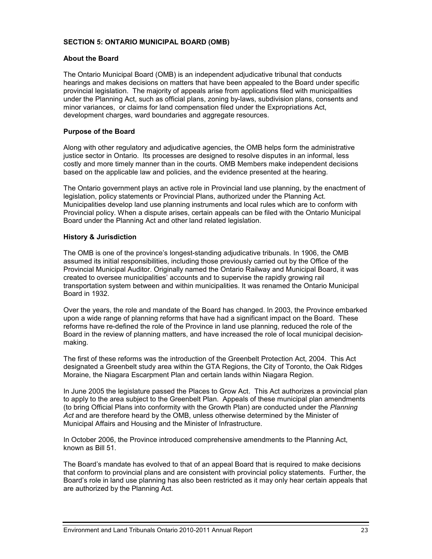#### **SECTION 5: ONTARIO MUNICIPAL BOARD (OMB)**

#### **About the Board**

The Ontario Municipal Board (OMB) is an independent adjudicative tribunal that conducts hearings and makes decisions on matters that have been appealed to the Board under specific provincial legislation. The majority of appeals arise from applications filed with municipalities under the Planning Act, such as official plans, zoning by-laws, subdivision plans, consents and minor variances, or claims for land compensation filed under the Expropriations Act, development charges, ward boundaries and aggregate resources.

#### **Purpose of the Board**

Along with other regulatory and adjudicative agencies, the OMB helps form the administrative justice sector in Ontario. Its processes are designed to resolve disputes in an informal, less costly and more timely manner than in the courts. OMB Members make independent decisions based on the applicable law and policies, and the evidence presented at the hearing.

The Ontario government plays an active role in Provincial land use planning, by the enactment of legislation, policy statements or Provincial Plans, authorized under the Planning Act.<br>Municipalities develop land use planning instruments and local rules which are to conform with Provincial policy. When a dispute arises, certain appeals can be filed with the Ontario Municipal Board under the Planning Act and other land related legislation.

#### **History & Jurisdiction**

The OMB is one of the province's longest-standing adjudicative tribunals. In 1906, the OMB assumed its initial responsibilities, including those previously carried out by the Office of the Provincial Municipal Auditor. Originally named the Ontario Railway and Municipal Board, it was created to oversee municipalities' accounts and to supervise the rapidly growing rail transportation system between and within municipalities. It was renamed the Ontario Municipal Board in 1932.

Over the years, the role and mandate of the Board has changed. In 2003, the Province embarked upon a wide range of planning reforms that have had a significant impact on the Board. These reforms have re-defined the role of the Province in land use planning, reduced the role of the Board in the review of planning matters, and have increased the role of local municipal decision making.

The first of these reforms was the introduction of the Greenbelt Protection Act, 2004. This Act designated a Greenbelt study area within the GTA Regions, the City of Toronto, the Oak Ridges Moraine, the Niagara Escarpment Plan and certain lands within Niagara Region.

In June 2005 the legislature passed the Places to Grow Act. This Act authorizes a provincial plan to apply to the area subject to the Greenbelt Plan. Appeals of these municipal plan amendments (to bring Official Plans into conformity with the Growth Plan) are conducted under the *Planning Act* and are therefore heard by the OMB, unless otherwise determined by the Minister of Municipal Affairs and Housing and the Minister of Infrastructure.

In October 2006, the Province introduced comprehensive amendments to the Planning Act, known as Bill 51.

The Board's mandate has evolved to that of an appeal Board that is required to make decisions that conform to provincial plans and are consistent with provincial policy statements. Further, the Board's role in land use planning has also been restricted as it may only hear certain appeals that are authorized by the Planning Act.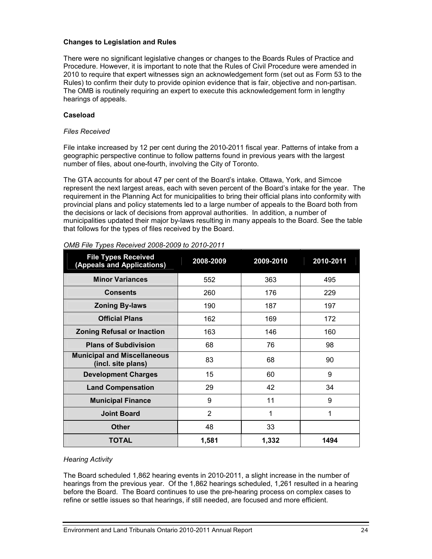#### **Changes to Legislation and Rules**

There were no significant legislative changes or changes to the Boards Rules of Practice and Procedure. However, it is important to note that the Rules of Civil Procedure were amended in 2010 to require that expert witnesses sign an acknowledgement form (set out as Form 53 to the Rules) to confirm their duty to provide opinion evidence that is fair, objective and non-partisan. The OMB is routinely requiring an expert to execute this acknowledgement form in lengthy hearings of appeals.

#### **Caseload**

#### *Files Received*

File intake increased by 12 per cent during the 2010-2011 fiscal year. Patterns of intake from a geographic perspective continue to follow patterns found in previous years with the largest number of files, about one-fourth, involving the City of Toronto.

The GTA accounts for about 47 per cent of the Board's intake. Ottawa, York, and Simcoe represent the next largest areas, each with seven percent of the Board's intake for the year. The requirement in the Planning Act for municipalities to bring their official plans into conformity with provincial plans and policy statements led to a large number of appeals to the Board both from the decisions or lack of decisions from approval authorities. In addition, a number of municipalities updated their major by-laws resulting in many appeals to the Board. See the table that follows for the types of files received by the Board.

| <b>File Types Received</b><br>(Appeals and Applications) | 2008-2009      | 2009-2010 | 2010-2011 |
|----------------------------------------------------------|----------------|-----------|-----------|
| <b>Minor Variances</b>                                   | 552            | 363       | 495       |
| <b>Consents</b>                                          | 260            | 176       | 229       |
| <b>Zoning By-laws</b>                                    | 190            | 187       | 197       |
| <b>Official Plans</b>                                    | 162            | 169       | 172       |
| <b>Zoning Refusal or Inaction</b>                        | 163            | 146       | 160       |
| <b>Plans of Subdivision</b>                              | 68             | 76        | 98        |
| <b>Municipal and Miscellaneous</b><br>(incl. site plans) | 83             | 68        | 90        |
| <b>Development Charges</b>                               | 15             | 60        | 9         |
| <b>Land Compensation</b>                                 | 29             | 42        | 34        |
| <b>Municipal Finance</b>                                 | 9              | 11        | 9         |
| <b>Joint Board</b>                                       | $\overline{2}$ | 1         | 1         |
| <b>Other</b>                                             | 48             | 33        |           |
| <b>TOTAL</b>                                             | 1,581          | 1,332     | 1494      |

#### *OMB File Types Received 2008-2009 to 2010-2011*

#### *Hearing Activity*

The Board scheduled 1,862 hearing events in 2010-2011, a slight increase in the number of hearings from the previous year. Of the 1,862 hearings scheduled, 1,261 resulted in a hearing before the Board. The Board continues to use the pre-hearing process on complex cases to refine or settle issues so that hearings, if still needed, are focused and more efficient.